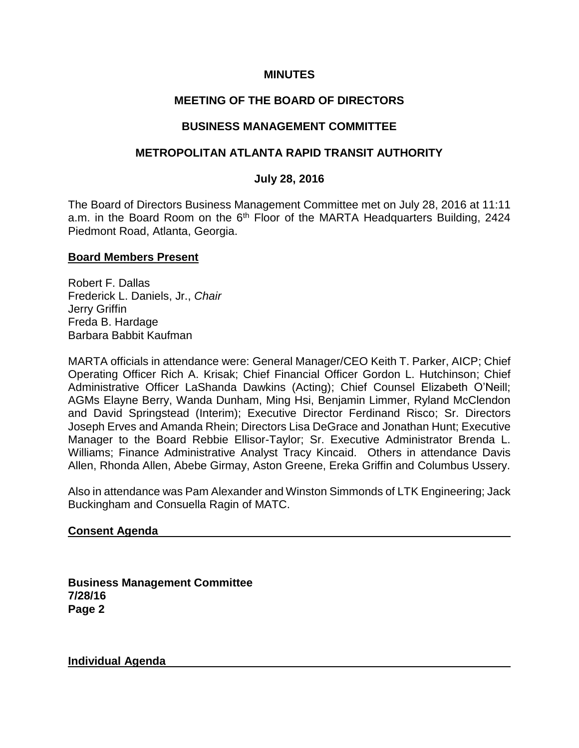## **MINUTES**

## **MEETING OF THE BOARD OF DIRECTORS**

### **BUSINESS MANAGEMENT COMMITTEE**

### **METROPOLITAN ATLANTA RAPID TRANSIT AUTHORITY**

#### **July 28, 2016**

The Board of Directors Business Management Committee met on July 28, 2016 at 11:11 a.m. in the Board Room on the 6<sup>th</sup> Floor of the MARTA Headquarters Building, 2424 Piedmont Road, Atlanta, Georgia.

#### **Board Members Present**

Robert F. Dallas Frederick L. Daniels, Jr., *Chair* Jerry Griffin Freda B. Hardage Barbara Babbit Kaufman

MARTA officials in attendance were: General Manager/CEO Keith T. Parker, AICP; Chief Operating Officer Rich A. Krisak; Chief Financial Officer Gordon L. Hutchinson; Chief Administrative Officer LaShanda Dawkins (Acting); Chief Counsel Elizabeth O'Neill; AGMs Elayne Berry, Wanda Dunham, Ming Hsi, Benjamin Limmer, Ryland McClendon and David Springstead (Interim); Executive Director Ferdinand Risco; Sr. Directors Joseph Erves and Amanda Rhein; Directors Lisa DeGrace and Jonathan Hunt; Executive Manager to the Board Rebbie Ellisor-Taylor; Sr. Executive Administrator Brenda L. Williams; Finance Administrative Analyst Tracy Kincaid. Others in attendance Davis Allen, Rhonda Allen, Abebe Girmay, Aston Greene, Ereka Griffin and Columbus Ussery.

Also in attendance was Pam Alexander and Winston Simmonds of LTK Engineering; Jack Buckingham and Consuella Ragin of MATC.

#### **Consent Agenda**

**Business Management Committee 7/28/16 Page 2**

**Individual Agenda**